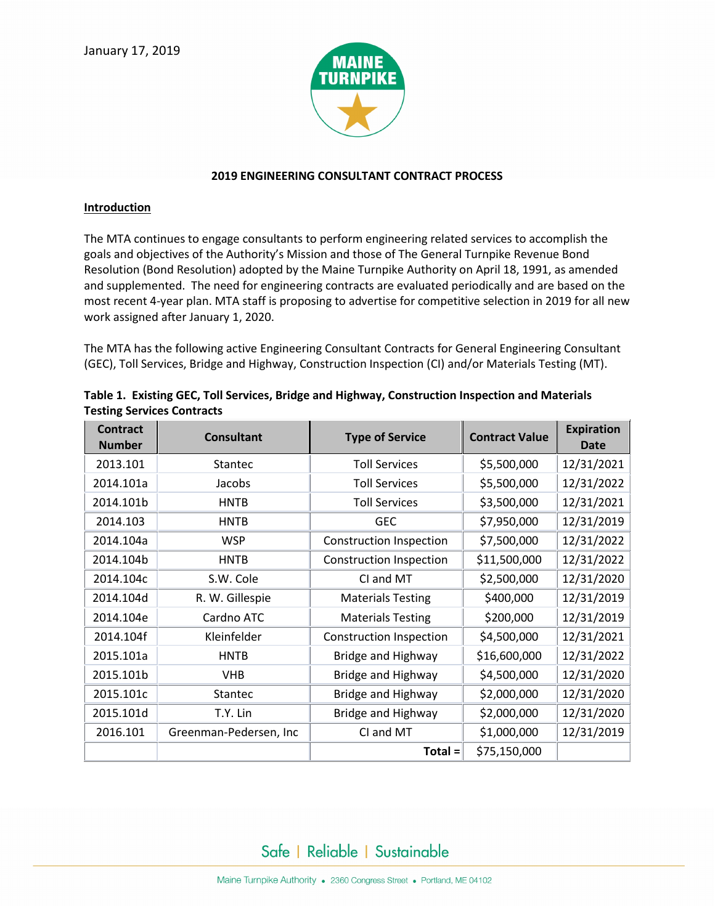

## **2019 ENGINEERING CONSULTANT CONTRACT PROCESS**

#### **Introduction**

The MTA continues to engage consultants to perform engineering related services to accomplish the goals and objectives of the Authority's Mission and those of The General Turnpike Revenue Bond Resolution (Bond Resolution) adopted by the Maine Turnpike Authority on April 18, 1991, as amended and supplemented. The need for engineering contracts are evaluated periodically and are based on the most recent 4-year plan. MTA staff is proposing to advertise for competitive selection in 2019 for all new work assigned after January 1, 2020.

The MTA has the following active Engineering Consultant Contracts for General Engineering Consultant (GEC), Toll Services, Bridge and Highway, Construction Inspection (CI) and/or Materials Testing (MT).

| <b>Contract</b><br><b>Number</b> | <b>Consultant</b>      | <b>Type of Service</b>         | <b>Contract Value</b> | <b>Expiration</b><br><b>Date</b> |
|----------------------------------|------------------------|--------------------------------|-----------------------|----------------------------------|
| 2013.101                         | <b>Stantec</b>         | <b>Toll Services</b>           | \$5,500,000           | 12/31/2021                       |
| 2014.101a                        | Jacobs                 | <b>Toll Services</b>           | \$5,500,000           | 12/31/2022                       |
| 2014.101b                        | <b>HNTB</b>            | <b>Toll Services</b>           | \$3,500,000           | 12/31/2021                       |
| 2014.103                         | <b>HNTB</b>            | <b>GEC</b>                     | \$7,950,000           | 12/31/2019                       |
| 2014.104a                        | <b>WSP</b>             | <b>Construction Inspection</b> | \$7,500,000           | 12/31/2022                       |
| 2014.104b                        | <b>HNTB</b>            | Construction Inspection        | \$11,500,000          | 12/31/2022                       |
| 2014.104c                        | S.W. Cole              | CI and MT                      | \$2,500,000           | 12/31/2020                       |
| 2014.104d                        | R. W. Gillespie        | <b>Materials Testing</b>       | \$400,000             | 12/31/2019                       |
| 2014.104e                        | Cardno ATC             | <b>Materials Testing</b>       | \$200,000             | 12/31/2019                       |
| 2014.104f                        | Kleinfelder            | <b>Construction Inspection</b> | \$4,500,000           | 12/31/2021                       |
| 2015.101a                        | <b>HNTB</b>            | Bridge and Highway             | \$16,600,000          | 12/31/2022                       |
| 2015.101b                        | <b>VHB</b>             | Bridge and Highway             | \$4,500,000           | 12/31/2020                       |
| 2015.101c                        | <b>Stantec</b>         | Bridge and Highway             | \$2,000,000           | 12/31/2020                       |
| 2015.101d                        | T.Y. Lin               | Bridge and Highway             | \$2,000,000           | 12/31/2020                       |
| 2016.101                         | Greenman-Pedersen, Inc | CI and MT                      | \$1,000,000           | 12/31/2019                       |
|                                  |                        | $Total =$                      | \$75,150,000          |                                  |

|                                   | Table 1. Existing GEC, Toll Services, Bridge and Highway, Construction Inspection and Materials |
|-----------------------------------|-------------------------------------------------------------------------------------------------|
| <b>Testing Services Contracts</b> |                                                                                                 |

Safe | Reliable | Sustainable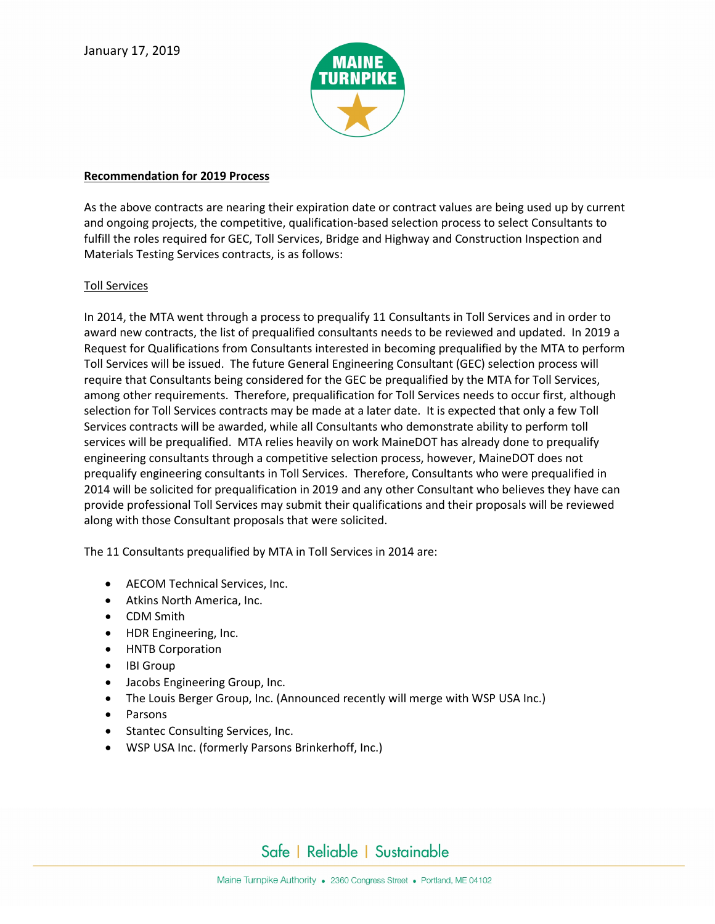

### **Recommendation for 2019 Process**

As the above contracts are nearing their expiration date or contract values are being used up by current and ongoing projects, the competitive, qualification-based selection process to select Consultants to fulfill the roles required for GEC, Toll Services, Bridge and Highway and Construction Inspection and Materials Testing Services contracts, is as follows:

## Toll Services

In 2014, the MTA went through a process to prequalify 11 Consultants in Toll Services and in order to award new contracts, the list of prequalified consultants needs to be reviewed and updated. In 2019 a Request for Qualifications from Consultants interested in becoming prequalified by the MTA to perform Toll Services will be issued. The future General Engineering Consultant (GEC) selection process will require that Consultants being considered for the GEC be prequalified by the MTA for Toll Services, among other requirements. Therefore, prequalification for Toll Services needs to occur first, although selection for Toll Services contracts may be made at a later date. It is expected that only a few Toll Services contracts will be awarded, while all Consultants who demonstrate ability to perform toll services will be prequalified. MTA relies heavily on work MaineDOT has already done to prequalify engineering consultants through a competitive selection process, however, MaineDOT does not prequalify engineering consultants in Toll Services. Therefore, Consultants who were prequalified in 2014 will be solicited for prequalification in 2019 and any other Consultant who believes they have can provide professional Toll Services may submit their qualifications and their proposals will be reviewed along with those Consultant proposals that were solicited.

The 11 Consultants prequalified by MTA in Toll Services in 2014 are:

- AECOM Technical Services, Inc.
- Atkins North America, Inc.
- CDM Smith
- HDR Engineering, Inc.
- HNTB Corporation
- IBI Group
- Jacobs Engineering Group, Inc.
- The Louis Berger Group, Inc. (Announced recently will merge with WSP USA Inc.)
- Parsons
- Stantec Consulting Services, Inc.
- WSP USA Inc. (formerly Parsons Brinkerhoff, Inc.)

# Safe | Reliable | Sustainable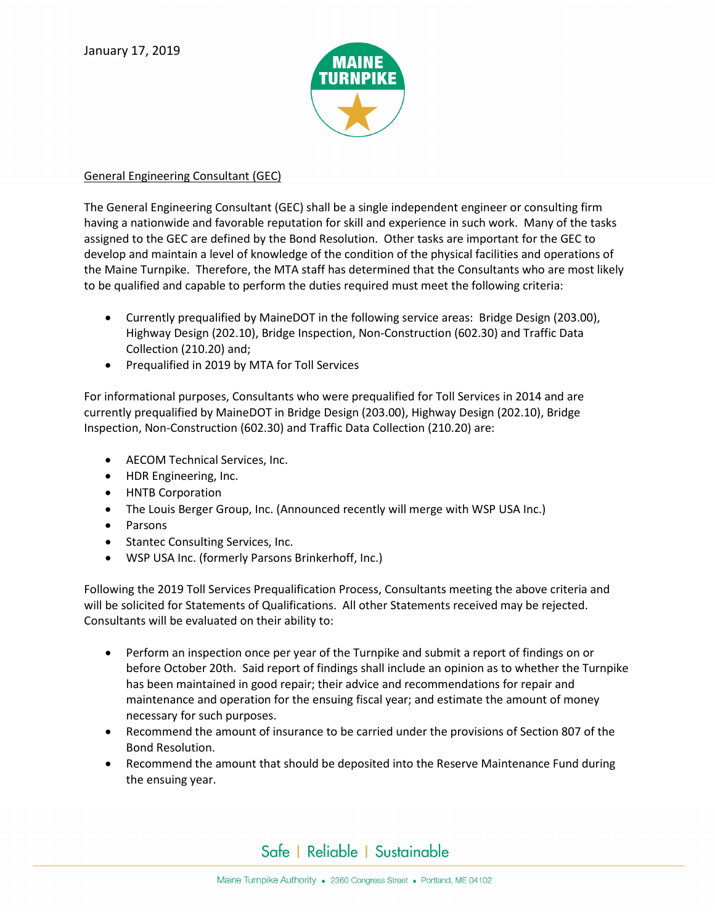

# General Engineering Consultant (GEC)

The General Engineering Consultant (GEC) shall be a single independent engineer or consulting firm having a nationwide and favorable reputation for skill and experience in such work. Many of the tasks assigned to the GEC are defined by the Bond Resolution. Other tasks are important for the GEC to develop and maintain a level of knowledge of the condition of the physical facilities and operations of the Maine Turnpike. Therefore, the MTA staff has determined that the Consultants who are most likely to be qualified and capable to perform the duties required must meet the following criteria:

- Currently prequalified by MaineDOT in the following service areas: Bridge Design (203.00), Highway Design (202.10), Bridge Inspection, Non-Construction (602.30) and Traffic Data Collection (210.20) and;
- Prequalified in 2019 by MTA for Toll Services

For informational purposes, Consultants who were prequalified for Toll Services in 2014 and are currently prequalified by MaineDOT in Bridge Design (203.00), Highway Design (202.10), Bridge Inspection, Non-Construction (602.30) and Traffic Data Collection (210.20) are:

- AECOM Technical Services, Inc.
- HDR Engineering, Inc.
- HNTB Corporation
- The Louis Berger Group, Inc. (Announced recently will merge with WSP USA Inc.)
- Parsons
- Stantec Consulting Services, Inc.
- WSP USA Inc. (formerly Parsons Brinkerhoff, Inc.)

Following the 2019 Toll Services Prequalification Process, Consultants meeting the above criteria and will be solicited for Statements of Qualifications. All other Statements received may be rejected. Consultants will be evaluated on their ability to:

- Perform an inspection once per year of the Turnpike and submit a report of findings on or before October 20th. Said report of findings shall include an opinion as to whether the Turnpike has been maintained in good repair; their advice and recommendations for repair and maintenance and operation for the ensuing fiscal year; and estimate the amount of money necessary for such purposes.
- Recommend the amount of insurance to be carried under the provisions of Section 807 of the Bond Resolution.
- Recommend the amount that should be deposited into the Reserve Maintenance Fund during the ensuing year.

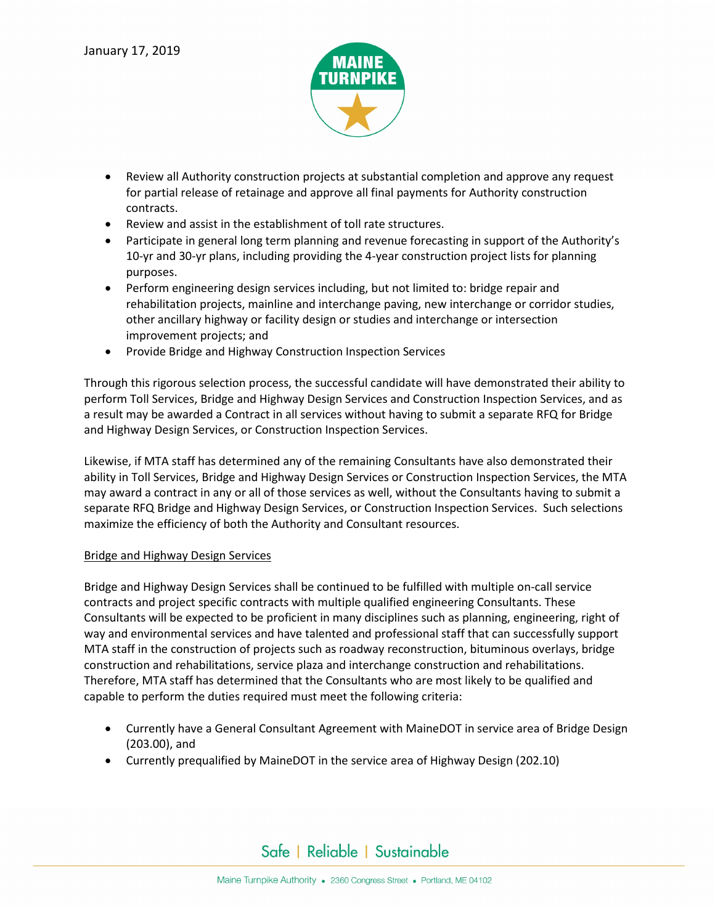

- Review all Authority construction projects at substantial completion and approve any request for partial release of retainage and approve all final payments for Authority construction contracts.
- Review and assist in the establishment of toll rate structures.
- Participate in general long term planning and revenue forecasting in support of the Authority's 10-yr and 30-yr plans, including providing the 4-year construction project lists for planning purposes.
- Perform engineering design services including, but not limited to: bridge repair and rehabilitation projects, mainline and interchange paving, new interchange or corridor studies, other ancillary highway or facility design or studies and interchange or intersection improvement projects; and
- Provide Bridge and Highway Construction Inspection Services

Through this rigorous selection process, the successful candidate will have demonstrated their ability to perform Toll Services, Bridge and Highway Design Services and Construction Inspection Services, and as a result may be awarded a Contract in all services without having to submit a separate RFQ for Bridge and Highway Design Services, or Construction Inspection Services.

Likewise, if MTA staff has determined any of the remaining Consultants have also demonstrated their ability in Toll Services, Bridge and Highway Design Services or Construction Inspection Services, the MTA may award a contract in any or all of those services as well, without the Consultants having to submit a separate RFQ Bridge and Highway Design Services, or Construction Inspection Services. Such selections maximize the efficiency of both the Authority and Consultant resources.

## Bridge and Highway Design Services

Bridge and Highway Design Services shall be continued to be fulfilled with multiple on-call service contracts and project specific contracts with multiple qualified engineering Consultants. These Consultants will be expected to be proficient in many disciplines such as planning, engineering, right of way and environmental services and have talented and professional staff that can successfully support MTA staff in the construction of projects such as roadway reconstruction, bituminous overlays, bridge construction and rehabilitations, service plaza and interchange construction and rehabilitations. Therefore, MTA staff has determined that the Consultants who are most likely to be qualified and capable to perform the duties required must meet the following criteria:

- Currently have a General Consultant Agreement with MaineDOT in service area of Bridge Design (203.00), and
- Currently prequalified by MaineDOT in the service area of Highway Design (202.10)